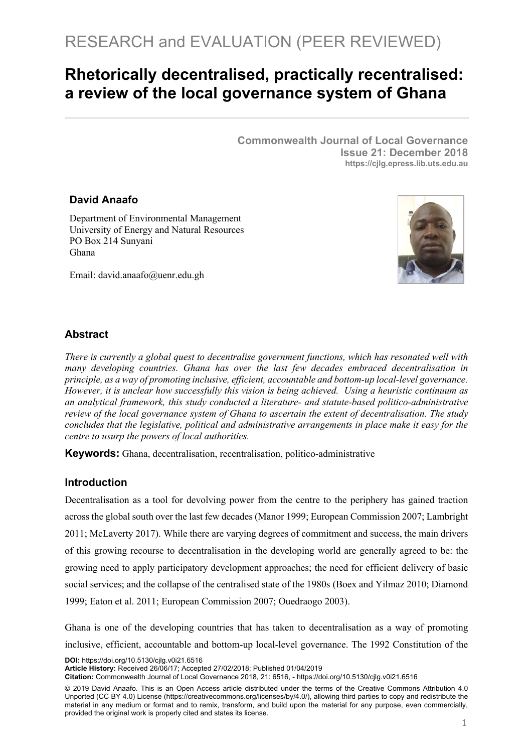# **Rhetorically decentralised, practically recentralised: a review of the local governance system of Ghana**

**Commonwealth Journal of Local Governance Issue 21: December 2018 https://cjlg.epress.lib.uts.edu.au**

## **David Anaafo**

Department of Environmental Management University of Energy and Natural Resources PO Box 214 Sunyani Ghana

Email: david.anaafo@uenr.edu.gh



# **Abstract**

*There is currently a global quest to decentralise government functions, which has resonated well with many developing countries. Ghana has over the last few decades embraced decentralisation in principle, as a way of promoting inclusive, efficient, accountable and bottom-up local-level governance. However, it is unclear how successfully this vision is being achieved. Using a heuristic continuum as an analytical framework, this study conducted a literature- and statute-based politico-administrative review of the local governance system of Ghana to ascertain the extent of decentralisation. The study concludes that the legislative, political and administrative arrangements in place make it easy for the centre to usurp the powers of local authorities.*

**Keywords:** Ghana, decentralisation, recentralisation, politico-administrative

## **Introduction**

Decentralisation as a tool for devolving power from the centre to the periphery has gained traction across the global south over the last few decades (Manor 1999; European Commission 2007; Lambright 2011; McLaverty 2017). While there are varying degrees of commitment and success, the main drivers of this growing recourse to decentralisation in the developing world are generally agreed to be: the growing need to apply participatory development approaches; the need for efficient delivery of basic social services; and the collapse of the centralised state of the 1980s (Boex and Yilmaz 2010; Diamond 1999; Eaton et al. 2011; European Commission 2007; Ouedraogo 2003).

Ghana is one of the developing countries that has taken to decentralisation as a way of promoting inclusive, efficient, accountable and bottom-up local-level governance. The 1992 Constitution of the

**DOI:** https://doi.org/10.5130/cjlg.v0i21.6516

**Article History:** Received 26/06/17; Accepted 27/02/2018; Published 01/04/2019

**Citation:** Commonwealth Journal of Local Governance 2018, 21: 6516, - https://doi.org/10.5130/cjlg.v0i21.6516

© 2019 David Anaafo. This is an Open Access article distributed under the terms of the Creative Commons Attribution 4.0 Unported (CC BY 4.0) License (https://creativecommons.org/licenses/by/4.0/), allowing third parties to copy and redistribute the material in any medium or format and to remix, transform, and build upon the material for any purpose, even commercially, provided the original work is properly cited and states its license.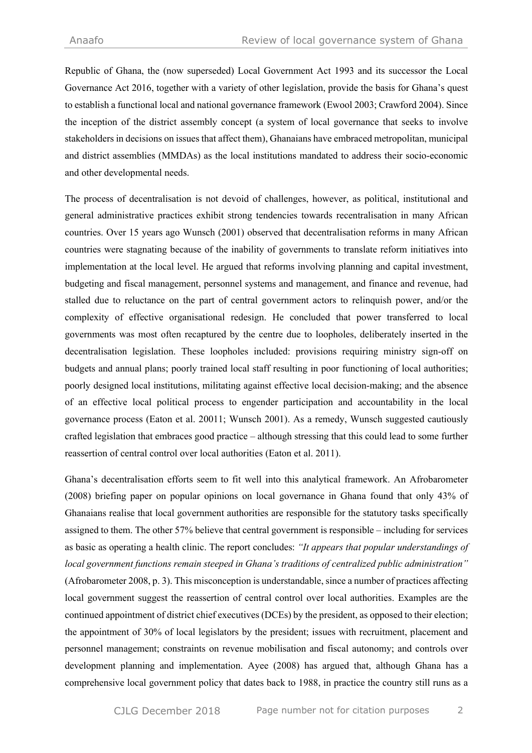Republic of Ghana, the (now superseded) Local Government Act 1993 and its successor the Local Governance Act 2016, together with a variety of other legislation, provide the basis for Ghana's quest to establish a functional local and national governance framework (Ewool 2003; Crawford 2004). Since the inception of the district assembly concept (a system of local governance that seeks to involve stakeholders in decisions on issues that affect them), Ghanaians have embraced metropolitan, municipal and district assemblies (MMDAs) as the local institutions mandated to address their socio-economic and other developmental needs.

The process of decentralisation is not devoid of challenges, however, as political, institutional and general administrative practices exhibit strong tendencies towards recentralisation in many African countries. Over 15 years ago Wunsch (2001) observed that decentralisation reforms in many African countries were stagnating because of the inability of governments to translate reform initiatives into implementation at the local level. He argued that reforms involving planning and capital investment, budgeting and fiscal management, personnel systems and management, and finance and revenue, had stalled due to reluctance on the part of central government actors to relinquish power, and/or the complexity of effective organisational redesign. He concluded that power transferred to local governments was most often recaptured by the centre due to loopholes, deliberately inserted in the decentralisation legislation. These loopholes included: provisions requiring ministry sign-off on budgets and annual plans; poorly trained local staff resulting in poor functioning of local authorities; poorly designed local institutions, militating against effective local decision-making; and the absence of an effective local political process to engender participation and accountability in the local governance process (Eaton et al. 20011; Wunsch 2001). As a remedy, Wunsch suggested cautiously crafted legislation that embraces good practice – although stressing that this could lead to some further reassertion of central control over local authorities (Eaton et al. 2011).

Ghana's decentralisation efforts seem to fit well into this analytical framework. An Afrobarometer (2008) briefing paper on popular opinions on local governance in Ghana found that only 43% of Ghanaians realise that local government authorities are responsible for the statutory tasks specifically assigned to them. The other 57% believe that central government is responsible – including for services as basic as operating a health clinic. The report concludes: *"It appears that popular understandings of local government functions remain steeped in Ghana's traditions of centralized public administration"* (Afrobarometer 2008, p. 3). This misconception is understandable, since a number of practices affecting local government suggest the reassertion of central control over local authorities. Examples are the continued appointment of district chief executives (DCEs) by the president, as opposed to their election; the appointment of 30% of local legislators by the president; issues with recruitment, placement and personnel management; constraints on revenue mobilisation and fiscal autonomy; and controls over development planning and implementation. Ayee (2008) has argued that, although Ghana has a comprehensive local government policy that dates back to 1988, in practice the country still runs as a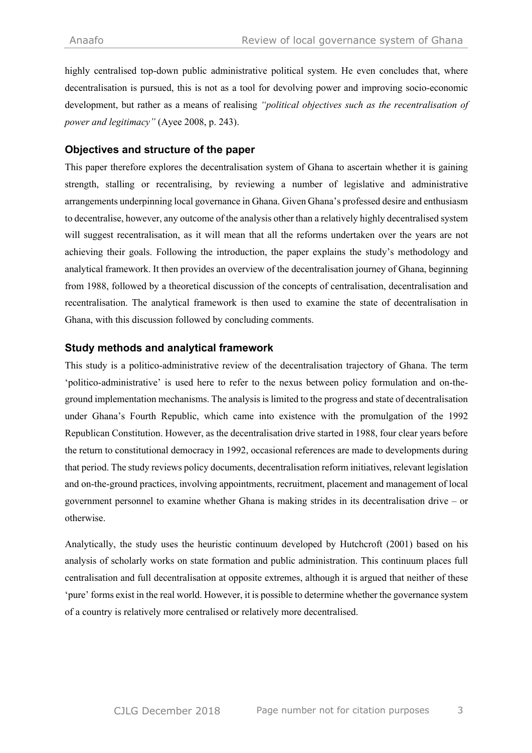highly centralised top-down public administrative political system. He even concludes that, where decentralisation is pursued, this is not as a tool for devolving power and improving socio-economic development, but rather as a means of realising *"political objectives such as the recentralisation of power and legitimacy"* (Ayee 2008, p. 243).

#### **Objectives and structure of the paper**

This paper therefore explores the decentralisation system of Ghana to ascertain whether it is gaining strength, stalling or recentralising, by reviewing a number of legislative and administrative arrangements underpinning local governance in Ghana. Given Ghana's professed desire and enthusiasm to decentralise, however, any outcome of the analysis other than a relatively highly decentralised system will suggest recentralisation, as it will mean that all the reforms undertaken over the years are not achieving their goals. Following the introduction, the paper explains the study's methodology and analytical framework. It then provides an overview of the decentralisation journey of Ghana, beginning from 1988, followed by a theoretical discussion of the concepts of centralisation, decentralisation and recentralisation. The analytical framework is then used to examine the state of decentralisation in Ghana, with this discussion followed by concluding comments.

#### **Study methods and analytical framework**

This study is a politico-administrative review of the decentralisation trajectory of Ghana. The term 'politico-administrative' is used here to refer to the nexus between policy formulation and on-theground implementation mechanisms. The analysis is limited to the progress and state of decentralisation under Ghana's Fourth Republic, which came into existence with the promulgation of the 1992 Republican Constitution. However, as the decentralisation drive started in 1988, four clear years before the return to constitutional democracy in 1992, occasional references are made to developments during that period. The study reviews policy documents, decentralisation reform initiatives, relevant legislation and on-the-ground practices, involving appointments, recruitment, placement and management of local government personnel to examine whether Ghana is making strides in its decentralisation drive – or otherwise.

Analytically, the study uses the heuristic continuum developed by Hutchcroft (2001) based on his analysis of scholarly works on state formation and public administration. This continuum places full centralisation and full decentralisation at opposite extremes, although it is argued that neither of these 'pure' forms exist in the real world. However, it is possible to determine whether the governance system of a country is relatively more centralised or relatively more decentralised.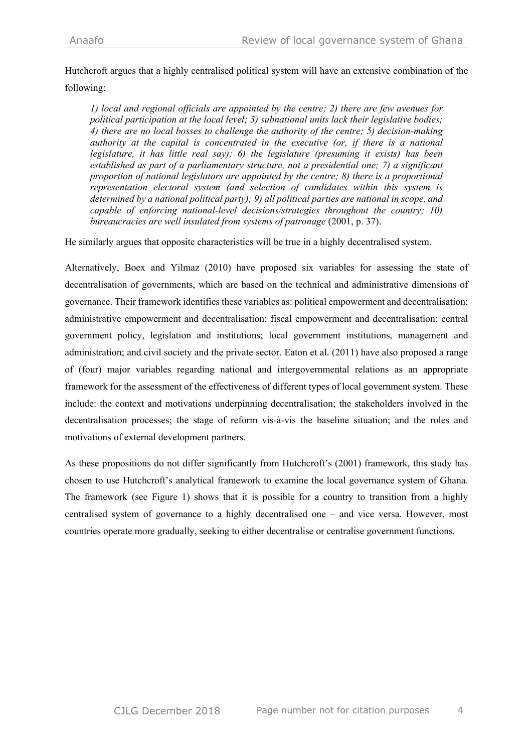Hutchcroft argues that a highly centralised political system will have an extensive combination of the following:

*1) local and regional officials are appointed by the centre; 2) there are few avenues for political participation at the local level; 3) subnational units lack their legislative bodies; 4) there are no local bosses to challenge the authority of the centre; 5) decision-making authority at the capital is concentrated in the executive (or, if there is a national legislature, it has little real say); 6) the legislature (presuming it exists) has been established as part of a parliamentary structure, not a presidential one; 7) a significant proportion of national legislators are appointed by the centre; 8) there is a proportional representation electoral system (and selection of candidates within this system is determined by a national political party); 9) all political parties are national in scope, and capable of enforcing national-level decisions/strategies throughout the country; 10) bureaucracies are well insulated from systems of patronage* (2001, p. 37).

He similarly argues that opposite characteristics will be true in a highly decentralised system.

Alternatively, Boex and Yilmaz (2010) have proposed six variables for assessing the state of decentralisation of governments, which are based on the technical and administrative dimensions of governance. Their framework identifies these variables as: political empowerment and decentralisation; administrative empowerment and decentralisation; fiscal empowerment and decentralisation; central government policy, legislation and institutions; local government institutions, management and administration; and civil society and the private sector. Eaton et al. (2011) have also proposed a range of (four) major variables regarding national and intergovernmental relations as an appropriate framework for the assessment of the effectiveness of different types of local government system. These include: the context and motivations underpinning decentralisation; the stakeholders involved in the decentralisation processes; the stage of reform vis-à-vis the baseline situation; and the roles and motivations of external development partners.

As these propositions do not differ significantly from Hutchcroft's (2001) framework, this study has chosen to use Hutchcroft's analytical framework to examine the local governance system of Ghana. The framework (see Figure 1) shows that it is possible for a country to transition from a highly centralised system of governance to a highly decentralised one – and vice versa. However, most countries operate more gradually, seeking to either decentralise or centralise government functions.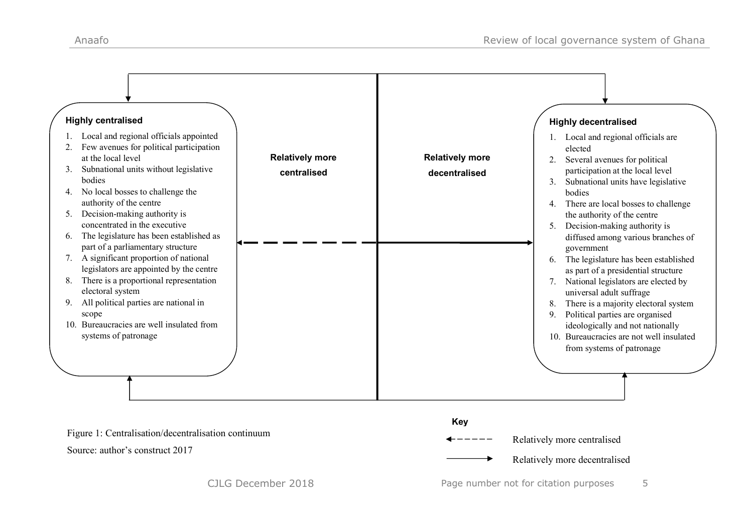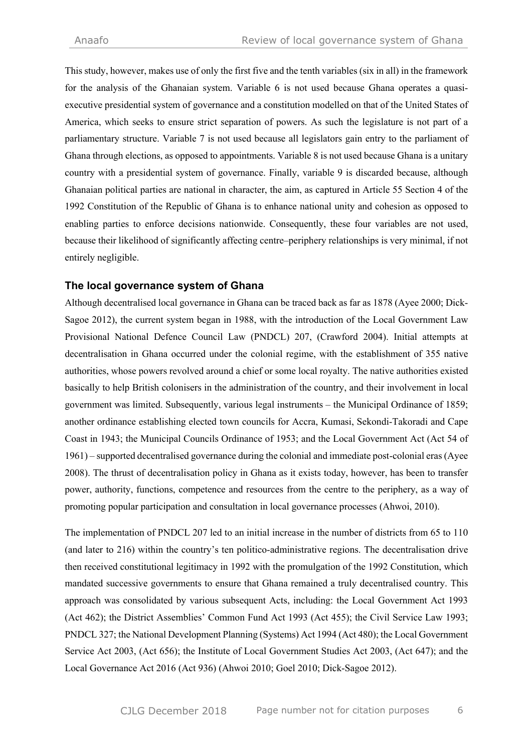This study, however, makes use of only the first five and the tenth variables (six in all) in the framework for the analysis of the Ghanaian system. Variable 6 is not used because Ghana operates a quasiexecutive presidential system of governance and a constitution modelled on that of the United States of America, which seeks to ensure strict separation of powers. As such the legislature is not part of a parliamentary structure. Variable 7 is not used because all legislators gain entry to the parliament of Ghana through elections, as opposed to appointments. Variable 8 is not used because Ghana is a unitary country with a presidential system of governance. Finally, variable 9 is discarded because, although Ghanaian political parties are national in character, the aim, as captured in Article 55 Section 4 of the 1992 Constitution of the Republic of Ghana is to enhance national unity and cohesion as opposed to enabling parties to enforce decisions nationwide. Consequently, these four variables are not used, because their likelihood of significantly affecting centre–periphery relationships is very minimal, if not entirely negligible.

## **The local governance system of Ghana**

Although decentralised local governance in Ghana can be traced back as far as 1878 (Ayee 2000; Dick-Sagoe 2012), the current system began in 1988, with the introduction of the Local Government Law Provisional National Defence Council Law (PNDCL) 207, (Crawford 2004). Initial attempts at decentralisation in Ghana occurred under the colonial regime, with the establishment of 355 native authorities, whose powers revolved around a chief or some local royalty. The native authorities existed basically to help British colonisers in the administration of the country, and their involvement in local government was limited. Subsequently, various legal instruments – the Municipal Ordinance of 1859; another ordinance establishing elected town councils for Accra, Kumasi, Sekondi-Takoradi and Cape Coast in 1943; the Municipal Councils Ordinance of 1953; and the Local Government Act (Act 54 of 1961) – supported decentralised governance during the colonial and immediate post-colonial eras (Ayee 2008). The thrust of decentralisation policy in Ghana as it exists today, however, has been to transfer power, authority, functions, competence and resources from the centre to the periphery, as a way of promoting popular participation and consultation in local governance processes (Ahwoi, 2010).

The implementation of PNDCL 207 led to an initial increase in the number of districts from 65 to 110 (and later to 216) within the country's ten politico-administrative regions. The decentralisation drive then received constitutional legitimacy in 1992 with the promulgation of the 1992 Constitution, which mandated successive governments to ensure that Ghana remained a truly decentralised country. This approach was consolidated by various subsequent Acts, including: the Local Government Act 1993 (Act 462); the District Assemblies' Common Fund Act 1993 (Act 455); the Civil Service Law 1993; PNDCL 327; the National Development Planning (Systems) Act 1994 (Act 480); the Local Government Service Act 2003, (Act 656); the Institute of Local Government Studies Act 2003, (Act 647); and the Local Governance Act 2016 (Act 936) (Ahwoi 2010; Goel 2010; Dick-Sagoe 2012).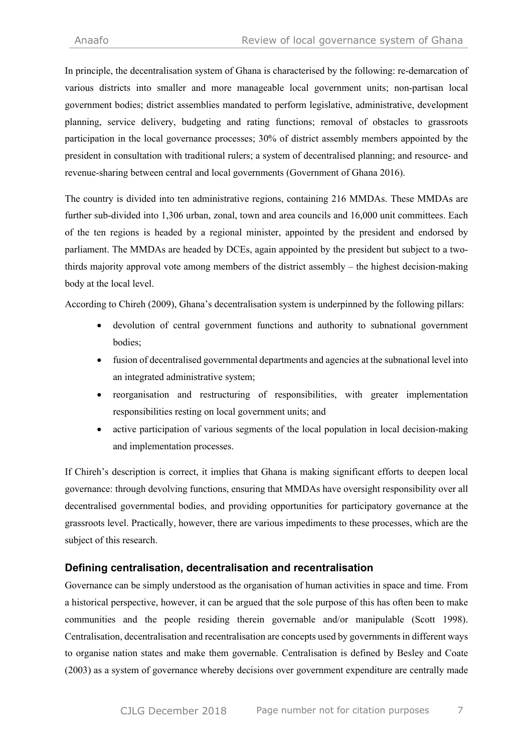In principle, the decentralisation system of Ghana is characterised by the following: re-demarcation of various districts into smaller and more manageable local government units; non-partisan local government bodies; district assemblies mandated to perform legislative, administrative, development planning, service delivery, budgeting and rating functions; removal of obstacles to grassroots participation in the local governance processes; 30% of district assembly members appointed by the president in consultation with traditional rulers; a system of decentralised planning; and resource- and revenue-sharing between central and local governments (Government of Ghana 2016).

The country is divided into ten administrative regions, containing 216 MMDAs. These MMDAs are further sub-divided into 1,306 urban, zonal, town and area councils and 16,000 unit committees. Each of the ten regions is headed by a regional minister, appointed by the president and endorsed by parliament. The MMDAs are headed by DCEs, again appointed by the president but subject to a twothirds majority approval vote among members of the district assembly – the highest decision-making body at the local level.

According to Chireh (2009), Ghana's decentralisation system is underpinned by the following pillars:

- devolution of central government functions and authority to subnational government bodies;
- fusion of decentralised governmental departments and agencies at the subnational level into an integrated administrative system;
- reorganisation and restructuring of responsibilities, with greater implementation responsibilities resting on local government units; and
- active participation of various segments of the local population in local decision-making and implementation processes.

If Chireh's description is correct, it implies that Ghana is making significant efforts to deepen local governance: through devolving functions, ensuring that MMDAs have oversight responsibility over all decentralised governmental bodies, and providing opportunities for participatory governance at the grassroots level. Practically, however, there are various impediments to these processes, which are the subject of this research.

# **Defining centralisation, decentralisation and recentralisation**

Governance can be simply understood as the organisation of human activities in space and time. From a historical perspective, however, it can be argued that the sole purpose of this has often been to make communities and the people residing therein governable and/or manipulable (Scott 1998). Centralisation, decentralisation and recentralisation are concepts used by governments in different ways to organise nation states and make them governable. Centralisation is defined by Besley and Coate (2003) as a system of governance whereby decisions over government expenditure are centrally made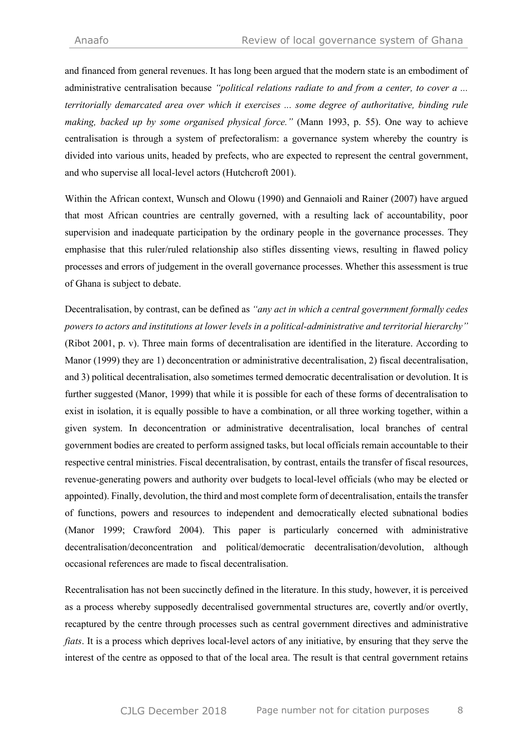and financed from general revenues. It has long been argued that the modern state is an embodiment of administrative centralisation because *"political relations radiate to and from a center, to cover a ... territorially demarcated area over which it exercises ... some degree of authoritative, binding rule making, backed up by some organised physical force."* (Mann 1993, p. 55). One way to achieve centralisation is through a system of prefectoralism: a governance system whereby the country is divided into various units, headed by prefects, who are expected to represent the central government, and who supervise all local-level actors (Hutchcroft 2001).

Within the African context, Wunsch and Olowu (1990) and Gennaioli and Rainer (2007) have argued that most African countries are centrally governed, with a resulting lack of accountability, poor supervision and inadequate participation by the ordinary people in the governance processes. They emphasise that this ruler/ruled relationship also stifles dissenting views, resulting in flawed policy processes and errors of judgement in the overall governance processes. Whether this assessment is true of Ghana is subject to debate.

Decentralisation, by contrast, can be defined as *"any act in which a central government formally cedes powers to actors and institutions at lower levels in a political-administrative and territorial hierarchy"*  (Ribot 2001, p. v). Three main forms of decentralisation are identified in the literature. According to Manor (1999) they are 1) deconcentration or administrative decentralisation, 2) fiscal decentralisation, and 3) political decentralisation, also sometimes termed democratic decentralisation or devolution. It is further suggested (Manor, 1999) that while it is possible for each of these forms of decentralisation to exist in isolation, it is equally possible to have a combination, or all three working together, within a given system. In deconcentration or administrative decentralisation, local branches of central government bodies are created to perform assigned tasks, but local officials remain accountable to their respective central ministries. Fiscal decentralisation, by contrast, entails the transfer of fiscal resources, revenue-generating powers and authority over budgets to local-level officials (who may be elected or appointed). Finally, devolution, the third and most complete form of decentralisation, entails the transfer of functions, powers and resources to independent and democratically elected subnational bodies (Manor 1999; Crawford 2004). This paper is particularly concerned with administrative decentralisation/deconcentration and political/democratic decentralisation/devolution, although occasional references are made to fiscal decentralisation.

Recentralisation has not been succinctly defined in the literature. In this study, however, it is perceived as a process whereby supposedly decentralised governmental structures are, covertly and/or overtly, recaptured by the centre through processes such as central government directives and administrative *fiats*. It is a process which deprives local-level actors of any initiative, by ensuring that they serve the interest of the centre as opposed to that of the local area. The result is that central government retains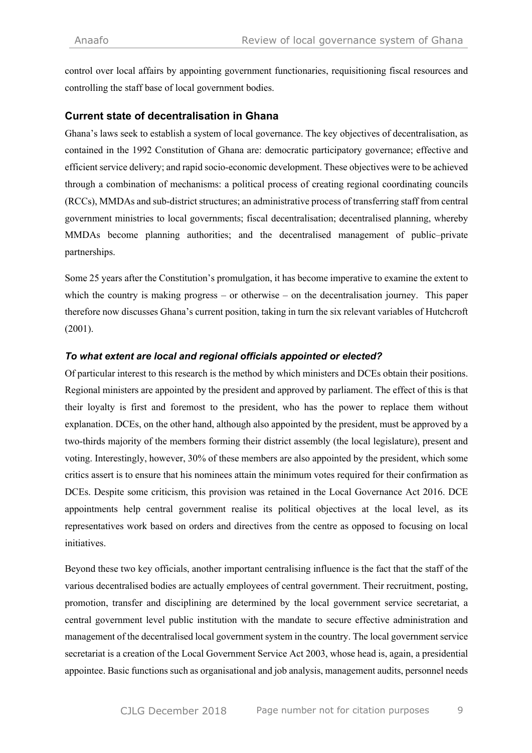control over local affairs by appointing government functionaries, requisitioning fiscal resources and controlling the staff base of local government bodies.

## **Current state of decentralisation in Ghana**

Ghana's laws seek to establish a system of local governance. The key objectives of decentralisation, as contained in the 1992 Constitution of Ghana are: democratic participatory governance; effective and efficient service delivery; and rapid socio-economic development. These objectives were to be achieved through a combination of mechanisms: a political process of creating regional coordinating councils (RCCs), MMDAs and sub-district structures; an administrative process of transferring staff from central government ministries to local governments; fiscal decentralisation; decentralised planning, whereby MMDAs become planning authorities; and the decentralised management of public–private partnerships.

Some 25 years after the Constitution's promulgation, it has become imperative to examine the extent to which the country is making progress – or otherwise – on the decentralisation journey. This paper therefore now discusses Ghana's current position, taking in turn the six relevant variables of Hutchcroft (2001).

## *To what extent are local and regional officials appointed or elected?*

Of particular interest to this research is the method by which ministers and DCEs obtain their positions. Regional ministers are appointed by the president and approved by parliament. The effect of this is that their loyalty is first and foremost to the president, who has the power to replace them without explanation. DCEs, on the other hand, although also appointed by the president, must be approved by a two-thirds majority of the members forming their district assembly (the local legislature), present and voting. Interestingly, however, 30% of these members are also appointed by the president, which some critics assert is to ensure that his nominees attain the minimum votes required for their confirmation as DCEs. Despite some criticism, this provision was retained in the Local Governance Act 2016. DCE appointments help central government realise its political objectives at the local level, as its representatives work based on orders and directives from the centre as opposed to focusing on local initiatives.

Beyond these two key officials, another important centralising influence is the fact that the staff of the various decentralised bodies are actually employees of central government. Their recruitment, posting, promotion, transfer and disciplining are determined by the local government service secretariat, a central government level public institution with the mandate to secure effective administration and management of the decentralised local government system in the country. The local government service secretariat is a creation of the Local Government Service Act 2003, whose head is, again, a presidential appointee. Basic functions such as organisational and job analysis, management audits, personnel needs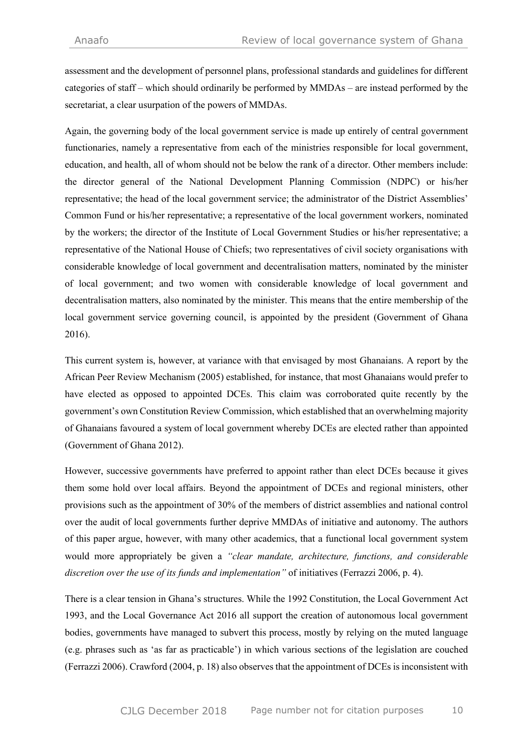assessment and the development of personnel plans, professional standards and guidelines for different categories of staff – which should ordinarily be performed by MMDAs – are instead performed by the secretariat, a clear usurpation of the powers of MMDAs.

Again, the governing body of the local government service is made up entirely of central government functionaries, namely a representative from each of the ministries responsible for local government, education, and health, all of whom should not be below the rank of a director. Other members include: the director general of the National Development Planning Commission (NDPC) or his/her representative; the head of the local government service; the administrator of the District Assemblies' Common Fund or his/her representative; a representative of the local government workers, nominated by the workers; the director of the Institute of Local Government Studies or his/her representative; a representative of the National House of Chiefs; two representatives of civil society organisations with considerable knowledge of local government and decentralisation matters, nominated by the minister of local government; and two women with considerable knowledge of local government and decentralisation matters, also nominated by the minister. This means that the entire membership of the local government service governing council, is appointed by the president (Government of Ghana 2016).

This current system is, however, at variance with that envisaged by most Ghanaians. A report by the African Peer Review Mechanism (2005) established, for instance, that most Ghanaians would prefer to have elected as opposed to appointed DCEs. This claim was corroborated quite recently by the government's own Constitution Review Commission, which established that an overwhelming majority of Ghanaians favoured a system of local government whereby DCEs are elected rather than appointed (Government of Ghana 2012).

However, successive governments have preferred to appoint rather than elect DCEs because it gives them some hold over local affairs. Beyond the appointment of DCEs and regional ministers, other provisions such as the appointment of 30% of the members of district assemblies and national control over the audit of local governments further deprive MMDAs of initiative and autonomy. The authors of this paper argue, however, with many other academics, that a functional local government system would more appropriately be given a *"clear mandate, architecture, functions, and considerable discretion over the use of its funds and implementation"* of initiatives (Ferrazzi 2006, p. 4).

There is a clear tension in Ghana's structures. While the 1992 Constitution, the Local Government Act 1993, and the Local Governance Act 2016 all support the creation of autonomous local government bodies, governments have managed to subvert this process, mostly by relying on the muted language (e.g. phrases such as 'as far as practicable') in which various sections of the legislation are couched (Ferrazzi 2006). Crawford (2004, p. 18) also observes that the appointment of DCEs is inconsistent with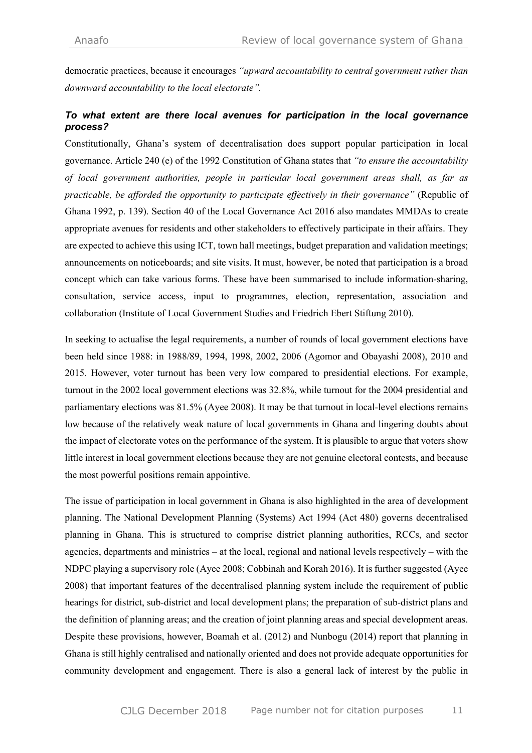democratic practices, because it encourages *"upward accountability to central government rather than downward accountability to the local electorate".*

# *To what extent are there local avenues for participation in the local governance process?*

Constitutionally, Ghana's system of decentralisation does support popular participation in local governance. Article 240 (e) of the 1992 Constitution of Ghana states that *"to ensure the accountability of local government authorities, people in particular local government areas shall, as far as practicable, be afforded the opportunity to participate effectively in their governance"* (Republic of Ghana 1992, p. 139). Section 40 of the Local Governance Act 2016 also mandates MMDAs to create appropriate avenues for residents and other stakeholders to effectively participate in their affairs. They are expected to achieve this using ICT, town hall meetings, budget preparation and validation meetings; announcements on noticeboards; and site visits. It must, however, be noted that participation is a broad concept which can take various forms. These have been summarised to include information-sharing, consultation, service access, input to programmes, election, representation, association and collaboration (Institute of Local Government Studies and Friedrich Ebert Stiftung 2010).

In seeking to actualise the legal requirements, a number of rounds of local government elections have been held since 1988: in 1988/89, 1994, 1998, 2002, 2006 (Agomor and Obayashi 2008), 2010 and 2015. However, voter turnout has been very low compared to presidential elections. For example, turnout in the 2002 local government elections was 32.8%, while turnout for the 2004 presidential and parliamentary elections was 81.5% (Ayee 2008). It may be that turnout in local-level elections remains low because of the relatively weak nature of local governments in Ghana and lingering doubts about the impact of electorate votes on the performance of the system. It is plausible to argue that voters show little interest in local government elections because they are not genuine electoral contests, and because the most powerful positions remain appointive.

The issue of participation in local government in Ghana is also highlighted in the area of development planning. The National Development Planning (Systems) Act 1994 (Act 480) governs decentralised planning in Ghana. This is structured to comprise district planning authorities, RCCs, and sector agencies, departments and ministries – at the local, regional and national levels respectively – with the NDPC playing a supervisory role (Ayee 2008; Cobbinah and Korah 2016). It is further suggested (Ayee 2008) that important features of the decentralised planning system include the requirement of public hearings for district, sub-district and local development plans; the preparation of sub-district plans and the definition of planning areas; and the creation of joint planning areas and special development areas. Despite these provisions, however, Boamah et al. (2012) and Nunbogu (2014) report that planning in Ghana is still highly centralised and nationally oriented and does not provide adequate opportunities for community development and engagement. There is also a general lack of interest by the public in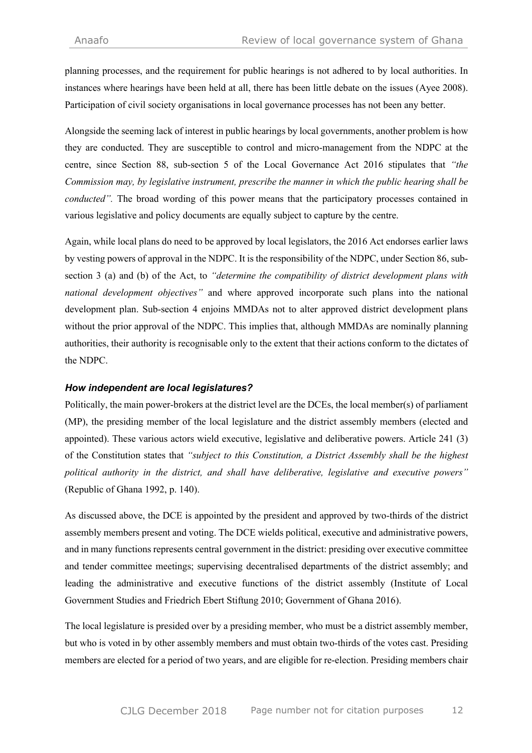planning processes, and the requirement for public hearings is not adhered to by local authorities. In instances where hearings have been held at all, there has been little debate on the issues (Ayee 2008). Participation of civil society organisations in local governance processes has not been any better.

Alongside the seeming lack of interest in public hearings by local governments, another problem is how they are conducted. They are susceptible to control and micro-management from the NDPC at the centre, since Section 88, sub-section 5 of the Local Governance Act 2016 stipulates that *"the Commission may, by legislative instrument, prescribe the manner in which the public hearing shall be conducted".* The broad wording of this power means that the participatory processes contained in various legislative and policy documents are equally subject to capture by the centre.

Again, while local plans do need to be approved by local legislators, the 2016 Act endorses earlier laws by vesting powers of approval in the NDPC. It is the responsibility of the NDPC, under Section 86, subsection 3 (a) and (b) of the Act, to *"determine the compatibility of district development plans with national development objectives"* and where approved incorporate such plans into the national development plan. Sub-section 4 enjoins MMDAs not to alter approved district development plans without the prior approval of the NDPC. This implies that, although MMDAs are nominally planning authorities, their authority is recognisable only to the extent that their actions conform to the dictates of the NDPC.

# *How independent are local legislatures?*

Politically, the main power-brokers at the district level are the DCEs, the local member(s) of parliament (MP), the presiding member of the local legislature and the district assembly members (elected and appointed). These various actors wield executive, legislative and deliberative powers. Article 241 (3) of the Constitution states that *"subject to this Constitution, a District Assembly shall be the highest political authority in the district, and shall have deliberative, legislative and executive powers"* (Republic of Ghana 1992, p. 140).

As discussed above, the DCE is appointed by the president and approved by two-thirds of the district assembly members present and voting. The DCE wields political, executive and administrative powers, and in many functions represents central government in the district: presiding over executive committee and tender committee meetings; supervising decentralised departments of the district assembly; and leading the administrative and executive functions of the district assembly (Institute of Local Government Studies and Friedrich Ebert Stiftung 2010; Government of Ghana 2016).

The local legislature is presided over by a presiding member, who must be a district assembly member, but who is voted in by other assembly members and must obtain two-thirds of the votes cast. Presiding members are elected for a period of two years, and are eligible for re-election. Presiding members chair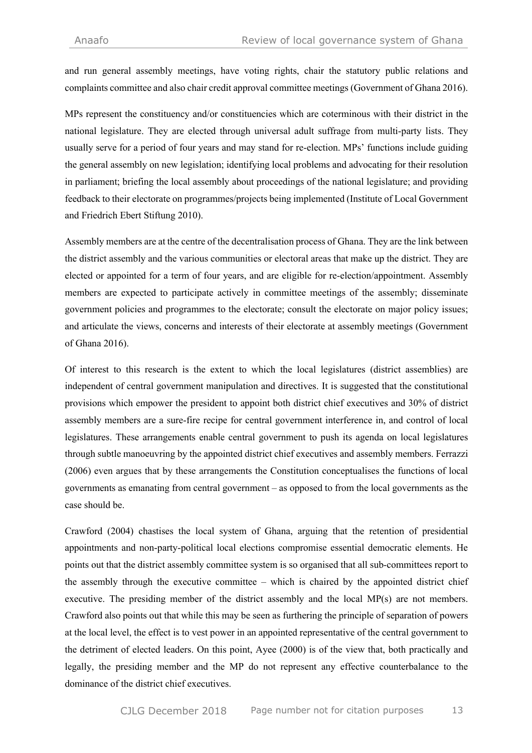and run general assembly meetings, have voting rights, chair the statutory public relations and complaints committee and also chair credit approval committee meetings (Government of Ghana 2016).

MPs represent the constituency and/or constituencies which are coterminous with their district in the national legislature. They are elected through universal adult suffrage from multi-party lists. They usually serve for a period of four years and may stand for re-election. MPs' functions include guiding the general assembly on new legislation; identifying local problems and advocating for their resolution in parliament; briefing the local assembly about proceedings of the national legislature; and providing feedback to their electorate on programmes/projects being implemented (Institute of Local Government and Friedrich Ebert Stiftung 2010).

Assembly members are at the centre of the decentralisation process of Ghana. They are the link between the district assembly and the various communities or electoral areas that make up the district. They are elected or appointed for a term of four years, and are eligible for re-election/appointment. Assembly members are expected to participate actively in committee meetings of the assembly; disseminate government policies and programmes to the electorate; consult the electorate on major policy issues; and articulate the views, concerns and interests of their electorate at assembly meetings (Government of Ghana 2016).

Of interest to this research is the extent to which the local legislatures (district assemblies) are independent of central government manipulation and directives. It is suggested that the constitutional provisions which empower the president to appoint both district chief executives and 30% of district assembly members are a sure-fire recipe for central government interference in, and control of local legislatures. These arrangements enable central government to push its agenda on local legislatures through subtle manoeuvring by the appointed district chief executives and assembly members. Ferrazzi (2006) even argues that by these arrangements the Constitution conceptualises the functions of local governments as emanating from central government – as opposed to from the local governments as the case should be.

Crawford (2004) chastises the local system of Ghana, arguing that the retention of presidential appointments and non-party-political local elections compromise essential democratic elements. He points out that the district assembly committee system is so organised that all sub-committees report to the assembly through the executive committee – which is chaired by the appointed district chief executive. The presiding member of the district assembly and the local MP(s) are not members. Crawford also points out that while this may be seen as furthering the principle of separation of powers at the local level, the effect is to vest power in an appointed representative of the central government to the detriment of elected leaders. On this point, Ayee (2000) is of the view that, both practically and legally, the presiding member and the MP do not represent any effective counterbalance to the dominance of the district chief executives.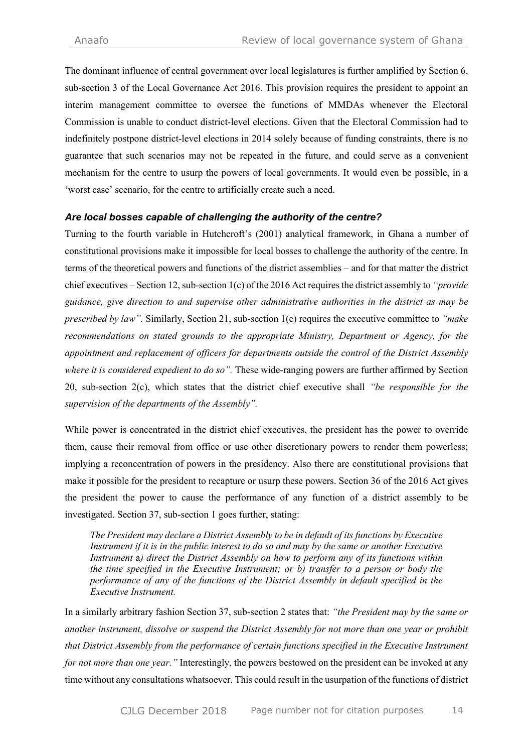The dominant influence of central government over local legislatures is further amplified by Section 6, sub-section 3 of the Local Governance Act 2016. This provision requires the president to appoint an interim management committee to oversee the functions of MMDAs whenever the Electoral Commission is unable to conduct district-level elections. Given that the Electoral Commission had to indefinitely postpone district-level elections in 2014 solely because of funding constraints, there is no guarantee that such scenarios may not be repeated in the future, and could serve as a convenient mechanism for the centre to usurp the powers of local governments. It would even be possible, in a 'worst case' scenario, for the centre to artificially create such a need.

## *Are local bosses capable of challenging the authority of the centre?*

Turning to the fourth variable in Hutchcroft's (2001) analytical framework, in Ghana a number of constitutional provisions make it impossible for local bosses to challenge the authority of the centre. In terms of the theoretical powers and functions of the district assemblies – and for that matter the district chief executives – Section 12, sub-section 1(c) of the 2016 Act requires the district assembly to *"provide guidance, give direction to and supervise other administrative authorities in the district as may be prescribed by law".* Similarly, Section 21, sub-section 1(e) requires the executive committee to *"make recommendations on stated grounds to the appropriate Ministry, Department or Agency, for the appointment and replacement of officers for departments outside the control of the District Assembly where it is considered expedient to do so".* These wide-ranging powers are further affirmed by Section 20, sub-section 2(c), which states that the district chief executive shall *"be responsible for the supervision of the departments of the Assembly".*

While power is concentrated in the district chief executives, the president has the power to override them, cause their removal from office or use other discretionary powers to render them powerless; implying a reconcentration of powers in the presidency. Also there are constitutional provisions that make it possible for the president to recapture or usurp these powers. Section 36 of the 2016 Act gives the president the power to cause the performance of any function of a district assembly to be investigated. Section 37, sub-section 1 goes further, stating:

*The President may declare a District Assembly to be in default of its functions by Executive Instrument if it is in the public interest to do so and may by the same or another Executive Instrument* a*) direct the District Assembly on how to perform any of its functions within the time specified in the Executive Instrument; or b) transfer to a person or body the performance of any of the functions of the District Assembly in default specified in the Executive Instrument.*

In a similarly arbitrary fashion Section 37, sub-section 2 states that: *"the President may by the same or another instrument, dissolve or suspend the District Assembly for not more than one year or prohibit that District Assembly from the performance of certain functions specified in the Executive Instrument for not more than one year.*" Interestingly, the powers bestowed on the president can be invoked at any time without any consultations whatsoever. This could result in the usurpation of the functions of district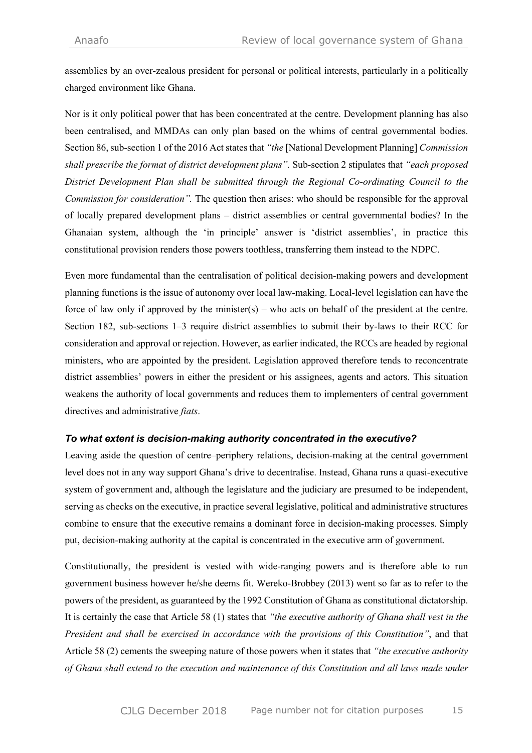assemblies by an over-zealous president for personal or political interests, particularly in a politically charged environment like Ghana.

Nor is it only political power that has been concentrated at the centre. Development planning has also been centralised, and MMDAs can only plan based on the whims of central governmental bodies. Section 86, sub-section 1 of the 2016 Act states that *"the* [National Development Planning] *Commission shall prescribe the format of district development plans".* Sub-section 2 stipulates that *"each proposed District Development Plan shall be submitted through the Regional Co-ordinating Council to the Commission for consideration".* The question then arises: who should be responsible for the approval of locally prepared development plans – district assemblies or central governmental bodies? In the Ghanaian system, although the 'in principle' answer is 'district assemblies', in practice this constitutional provision renders those powers toothless, transferring them instead to the NDPC.

Even more fundamental than the centralisation of political decision-making powers and development planning functions is the issue of autonomy over local law-making. Local-level legislation can have the force of law only if approved by the minister(s) – who acts on behalf of the president at the centre. Section 182, sub-sections 1–3 require district assemblies to submit their by-laws to their RCC for consideration and approval or rejection. However, as earlier indicated, the RCCs are headed by regional ministers, who are appointed by the president. Legislation approved therefore tends to reconcentrate district assemblies' powers in either the president or his assignees, agents and actors. This situation weakens the authority of local governments and reduces them to implementers of central government directives and administrative *fiats*.

## *To what extent is decision-making authority concentrated in the executive?*

Leaving aside the question of centre–periphery relations, decision-making at the central government level does not in any way support Ghana's drive to decentralise. Instead, Ghana runs a quasi-executive system of government and, although the legislature and the judiciary are presumed to be independent, serving as checks on the executive, in practice several legislative, political and administrative structures combine to ensure that the executive remains a dominant force in decision-making processes. Simply put, decision-making authority at the capital is concentrated in the executive arm of government.

Constitutionally, the president is vested with wide-ranging powers and is therefore able to run government business however he/she deems fit. Wereko-Brobbey (2013) went so far as to refer to the powers of the president, as guaranteed by the 1992 Constitution of Ghana as constitutional dictatorship. It is certainly the case that Article 58 (1) states that *"the executive authority of Ghana shall vest in the President and shall be exercised in accordance with the provisions of this Constitution"*, and that Article 58 (2) cements the sweeping nature of those powers when it states that *"the executive authority of Ghana shall extend to the execution and maintenance of this Constitution and all laws made under*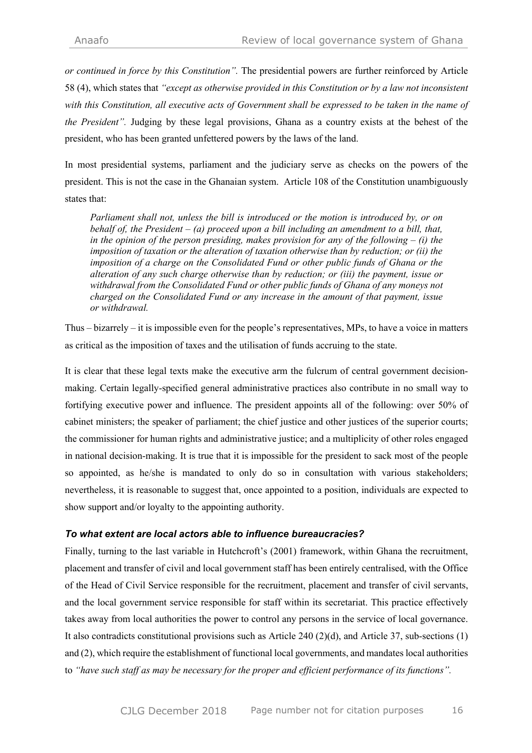*or continued in force by this Constitution".* The presidential powers are further reinforced by Article 58 (4), which states that *"except as otherwise provided in this Constitution or by a law not inconsistent with this Constitution, all executive acts of Government shall be expressed to be taken in the name of the President".* Judging by these legal provisions, Ghana as a country exists at the behest of the president, who has been granted unfettered powers by the laws of the land.

In most presidential systems, parliament and the judiciary serve as checks on the powers of the president. This is not the case in the Ghanaian system. Article 108 of the Constitution unambiguously states that:

*Parliament shall not, unless the bill is introduced or the motion is introduced by, or on behalf of, the President – (a) proceed upon a bill including an amendment to a bill, that, in the opinion of the person presiding, makes provision for any of the following – (i) the imposition of taxation or the alteration of taxation otherwise than by reduction; or (ii) the imposition of a charge on the Consolidated Fund or other public funds of Ghana or the alteration of any such charge otherwise than by reduction; or (iii) the payment, issue or withdrawal from the Consolidated Fund or other public funds of Ghana of any moneys not charged on the Consolidated Fund or any increase in the amount of that payment, issue or withdrawal.* 

Thus – bizarrely – it is impossible even for the people's representatives, MPs, to have a voice in matters as critical as the imposition of taxes and the utilisation of funds accruing to the state.

It is clear that these legal texts make the executive arm the fulcrum of central government decisionmaking. Certain legally-specified general administrative practices also contribute in no small way to fortifying executive power and influence. The president appoints all of the following: over 50% of cabinet ministers; the speaker of parliament; the chief justice and other justices of the superior courts; the commissioner for human rights and administrative justice; and a multiplicity of other roles engaged in national decision-making. It is true that it is impossible for the president to sack most of the people so appointed, as he/she is mandated to only do so in consultation with various stakeholders; nevertheless, it is reasonable to suggest that, once appointed to a position, individuals are expected to show support and/or loyalty to the appointing authority.

## *To what extent are local actors able to influence bureaucracies?*

Finally, turning to the last variable in Hutchcroft's (2001) framework, within Ghana the recruitment, placement and transfer of civil and local government staff has been entirely centralised, with the Office of the Head of Civil Service responsible for the recruitment, placement and transfer of civil servants, and the local government service responsible for staff within its secretariat. This practice effectively takes away from local authorities the power to control any persons in the service of local governance. It also contradicts constitutional provisions such as Article 240 (2)(d), and Article 37, sub-sections (1) and  $(2)$ , which require the establishment of functional local governments, and mandates local authorities to *"have such staff as may be necessary for the proper and efficient performance of its functions".*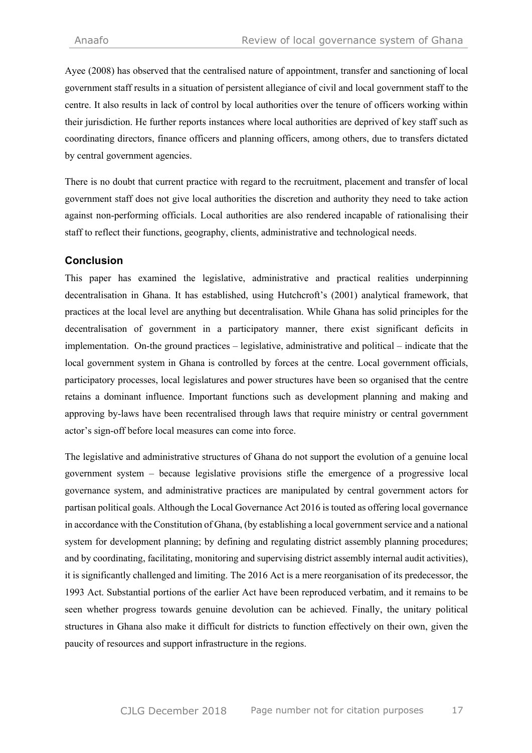Ayee (2008) has observed that the centralised nature of appointment, transfer and sanctioning of local government staff results in a situation of persistent allegiance of civil and local government staff to the centre. It also results in lack of control by local authorities over the tenure of officers working within their jurisdiction. He further reports instances where local authorities are deprived of key staff such as coordinating directors, finance officers and planning officers, among others, due to transfers dictated by central government agencies.

There is no doubt that current practice with regard to the recruitment, placement and transfer of local government staff does not give local authorities the discretion and authority they need to take action against non-performing officials. Local authorities are also rendered incapable of rationalising their staff to reflect their functions, geography, clients, administrative and technological needs.

# **Conclusion**

This paper has examined the legislative, administrative and practical realities underpinning decentralisation in Ghana. It has established, using Hutchcroft's (2001) analytical framework, that practices at the local level are anything but decentralisation. While Ghana has solid principles for the decentralisation of government in a participatory manner, there exist significant deficits in implementation. On-the ground practices – legislative, administrative and political – indicate that the local government system in Ghana is controlled by forces at the centre. Local government officials, participatory processes, local legislatures and power structures have been so organised that the centre retains a dominant influence. Important functions such as development planning and making and approving by-laws have been recentralised through laws that require ministry or central government actor's sign-off before local measures can come into force.

The legislative and administrative structures of Ghana do not support the evolution of a genuine local government system – because legislative provisions stifle the emergence of a progressive local governance system, and administrative practices are manipulated by central government actors for partisan political goals. Although the Local Governance Act 2016 is touted as offering local governance in accordance with the Constitution of Ghana, (by establishing a local government service and a national system for development planning; by defining and regulating district assembly planning procedures; and by coordinating, facilitating, monitoring and supervising district assembly internal audit activities), it is significantly challenged and limiting. The 2016 Act is a mere reorganisation of its predecessor, the 1993 Act. Substantial portions of the earlier Act have been reproduced verbatim, and it remains to be seen whether progress towards genuine devolution can be achieved. Finally, the unitary political structures in Ghana also make it difficult for districts to function effectively on their own, given the paucity of resources and support infrastructure in the regions.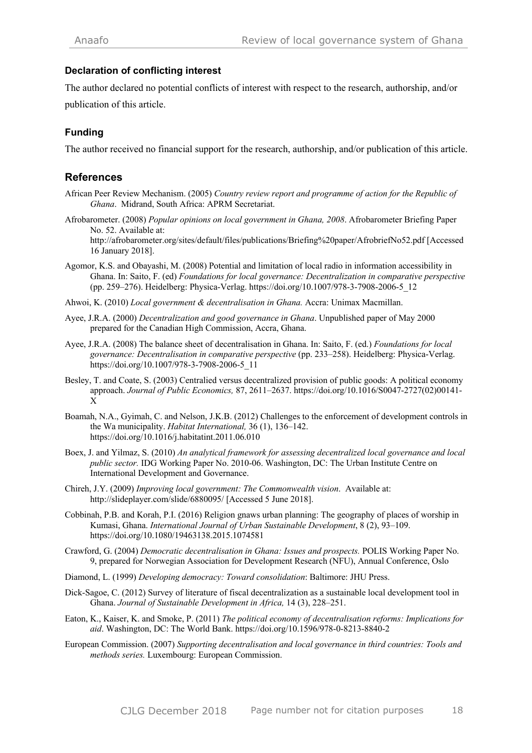#### **Declaration of conflicting interest**

The author declared no potential conflicts of interest with respect to the research, authorship, and/or publication of this article.

## **Funding**

The author received no financial support for the research, authorship, and/or publication of this article.

## **References**

- African Peer Review Mechanism. (2005) *Country review report and programme of action for the Republic of Ghana*. Midrand, South Africa: APRM Secretariat.
- Afrobarometer. (2008) *Popular opinions on local government in Ghana, 2008*. Afrobarometer Briefing Paper No. 52. Available at:

http://afrobarometer.org/sites/default/files/publications/Briefing%20paper/AfrobriefNo52.pdf [Accessed 16 January 2018].

- Agomor, K.S. and Obayashi, M. (2008) Potential and limitation of local radio in information accessibility in Ghana. In: Saito, F. (ed) *Foundations for local governance: Decentralization in comparative perspective* (pp. 259–276). Heidelberg: Physica-Verlag. https://doi.org/10.1007/978-3-7908-2006-5\_12
- Ahwoi, K. (2010) *Local government & decentralisation in Ghana.* Accra: Unimax Macmillan.
- Ayee, J.R.A. (2000) *Decentralization and good governance in Ghana*. Unpublished paper of May 2000 prepared for the Canadian High Commission, Accra, Ghana.
- Ayee, J.R.A. (2008) The balance sheet of decentralisation in Ghana. In: Saito, F. (ed.) *Foundations for local governance: Decentralisation in comparative perspective* (pp. 233–258). Heidelberg: Physica-Verlag. https://doi.org/10.1007/978-3-7908-2006-5\_11
- Besley, T. and Coate, S. (2003) Centralied versus decentralized provision of public goods: A political economy approach. *Journal of Public Economics,* 87, 2611–2637. https://doi.org/10.1016/S0047-2727(02)00141- X
- Boamah, N.A., Gyimah, C. and Nelson, J.K.B. (2012) Challenges to the enforcement of development controls in the Wa municipality. *Habitat International,* 36 (1), 136–142. https://doi.org/10.1016/j.habitatint.2011.06.010
- Boex, J. and Yilmaz, S. (2010) *An analytical framework for assessing decentralized local governance and local public sector.* IDG Working Paper No. 2010-06. Washington, DC: The Urban Institute Centre on International Development and Governance.
- Chireh, J.Y. (2009) *Improving local government: The Commonwealth vision*. Available at: http://slideplayer.com/slide/6880095/ [Accessed 5 June 2018].
- Cobbinah, P.B. and Korah, P.I. (2016) Religion gnaws urban planning: The geography of places of worship in Kumasi, Ghana. *International Journal of Urban Sustainable Development*, 8 (2), 93–109. https://doi.org/10.1080/19463138.2015.1074581
- Crawford, G. (2004) *Democratic decentralisation in Ghana: Issues and prospects.* POLIS Working Paper No. 9, prepared for Norwegian Association for Development Research (NFU), Annual Conference, Oslo
- Diamond, L. (1999) *Developing democracy: Toward consolidation*: Baltimore: JHU Press.
- Dick-Sagoe, C. (2012) Survey of literature of fiscal decentralization as a sustainable local development tool in Ghana. *Journal of Sustainable Development in Africa,* 14 (3), 228–251.
- Eaton, K., Kaiser, K. and Smoke, P. (2011) *The political economy of decentralisation reforms: Implications for aid*. Washington, DC: The World Bank. https://doi.org/10.1596/978-0-8213-8840-2
- European Commission. (2007) *Supporting decentralisation and local governance in third countries: Tools and methods series.* Luxembourg: European Commission.